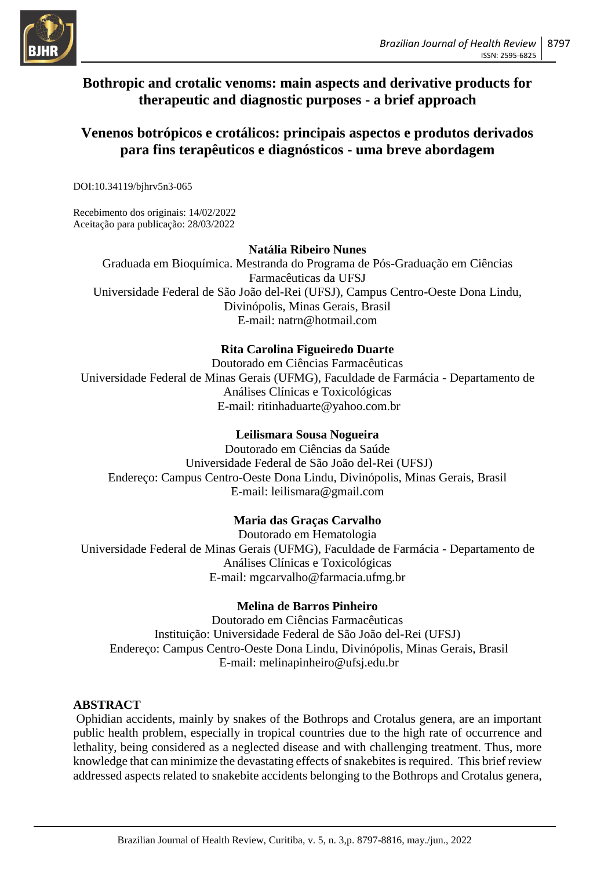

## **Bothropic and crotalic venoms: main aspects and derivative products for therapeutic and diagnostic purposes - a brief approach**

## **Venenos botrópicos e crotálicos: principais aspectos e produtos derivados para fins terapêuticos e diagnósticos - uma breve abordagem**

DOI:10.34119/bjhrv5n3-065

Recebimento dos originais: 14/02/2022 Aceitação para publicação: 28/03/2022

### **Natália Ribeiro Nunes**

Graduada em Bioquímica. Mestranda do Programa de Pós-Graduação em Ciências Farmacêuticas da UFSJ Universidade Federal de São João del-Rei (UFSJ), Campus Centro-Oeste Dona Lindu, Divinópolis, Minas Gerais, Brasil E-mail: natrn@hotmail.com

## **Rita Carolina Figueiredo Duarte**

Doutorado em Ciências Farmacêuticas Universidade Federal de Minas Gerais (UFMG), Faculdade de Farmácia - Departamento de Análises Clínicas e Toxicológicas E-mail: ritinhaduarte@yahoo.com.br

### **Leilismara Sousa Nogueira**

Doutorado em Ciências da Saúde Universidade Federal de São João del-Rei (UFSJ) Endereço: Campus Centro-Oeste Dona Lindu, Divinópolis, Minas Gerais, Brasil E-mail: leilismara@gmail.com

## **Maria das Graças Carvalho**

Doutorado em Hematologia Universidade Federal de Minas Gerais (UFMG), Faculdade de Farmácia - Departamento de Análises Clínicas e Toxicológicas E-mail: mgcarvalho@farmacia.ufmg.br

### **Melina de Barros Pinheiro**

Doutorado em Ciências Farmacêuticas Instituição: Universidade Federal de São João del-Rei (UFSJ) Endereço: Campus Centro-Oeste Dona Lindu, Divinópolis, Minas Gerais, Brasil E-mail: melinapinheiro@ufsj.edu.br

## **ABSTRACT**

Ophidian accidents, mainly by snakes of the Bothrops and Crotalus genera, are an important public health problem, especially in tropical countries due to the high rate of occurrence and lethality, being considered as a neglected disease and with challenging treatment. Thus, more knowledge that can minimize the devastating effects of snakebites is required. This brief review addressed aspects related to snakebite accidents belonging to the Bothrops and Crotalus genera,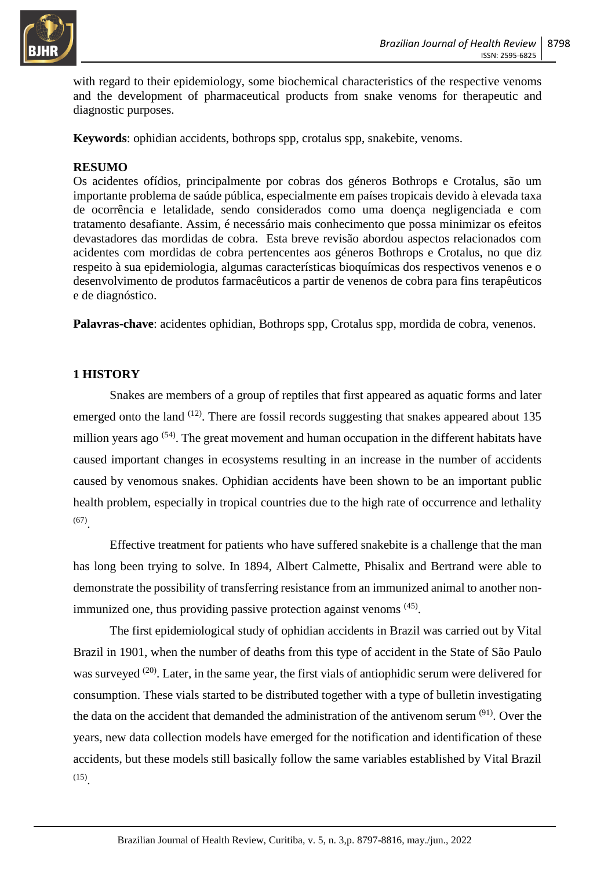

with regard to their epidemiology, some biochemical characteristics of the respective venoms and the development of pharmaceutical products from snake venoms for therapeutic and diagnostic purposes.

**Keywords**: ophidian accidents, bothrops spp, crotalus spp, snakebite, venoms.

### **RESUMO**

Os acidentes ofídios, principalmente por cobras dos géneros Bothrops e Crotalus, são um importante problema de saúde pública, especialmente em países tropicais devido à elevada taxa de ocorrência e letalidade, sendo considerados como uma doença negligenciada e com tratamento desafiante. Assim, é necessário mais conhecimento que possa minimizar os efeitos devastadores das mordidas de cobra. Esta breve revisão abordou aspectos relacionados com acidentes com mordidas de cobra pertencentes aos géneros Bothrops e Crotalus, no que diz respeito à sua epidemiologia, algumas características bioquímicas dos respectivos venenos e o desenvolvimento de produtos farmacêuticos a partir de venenos de cobra para fins terapêuticos e de diagnóstico.

**Palavras-chave**: acidentes ophidian, Bothrops spp, Crotalus spp, mordida de cobra, venenos.

## **1 HISTORY**

Snakes are members of a group of reptiles that first appeared as aquatic forms and later emerged onto the land  $(12)$ . There are fossil records suggesting that snakes appeared about 135 million years ago <sup>(54)</sup>. The great movement and human occupation in the different habitats have caused important changes in ecosystems resulting in an increase in the number of accidents caused by venomous snakes. Ophidian accidents have been shown to be an important public health problem, especially in tropical countries due to the high rate of occurrence and lethality (67) .

Effective treatment for patients who have suffered snakebite is a challenge that the man has long been trying to solve. In 1894, Albert Calmette, Phisalix and Bertrand were able to demonstrate the possibility of transferring resistance from an immunized animal to another nonimmunized one, thus providing passive protection against venoms <sup>(45)</sup>.

The first epidemiological study of ophidian accidents in Brazil was carried out by Vital Brazil in 1901, when the number of deaths from this type of accident in the State of São Paulo was surveyed <sup>(20)</sup>. Later, in the same year, the first vials of antiophidic serum were delivered for consumption. These vials started to be distributed together with a type of bulletin investigating the data on the accident that demanded the administration of the antivenom serum <sup>(91)</sup>. Over the years, new data collection models have emerged for the notification and identification of these accidents, but these models still basically follow the same variables established by Vital Brazil (15) .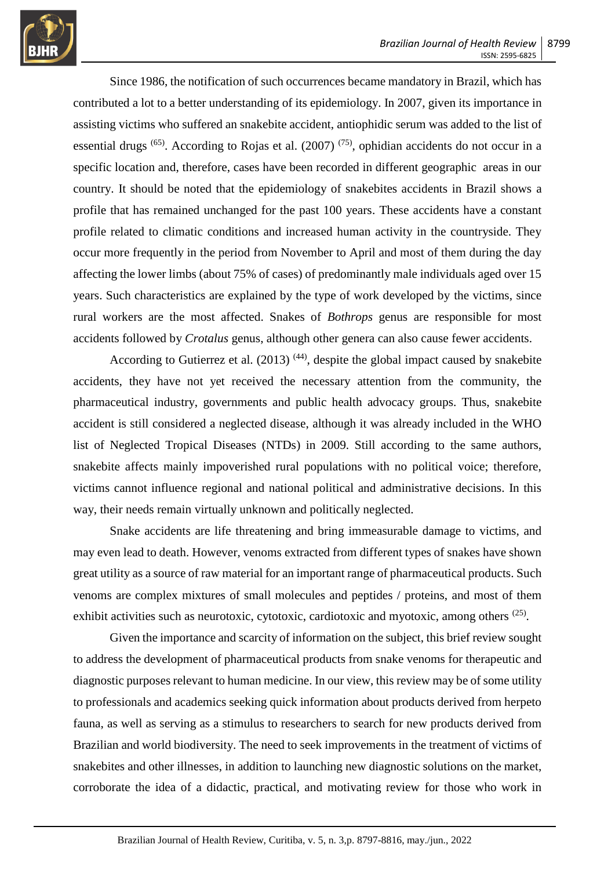

Since 1986, the notification of such occurrences became mandatory in Brazil, which has contributed a lot to a better understanding of its epidemiology. In 2007, given its importance in assisting victims who suffered an snakebite accident, antiophidic serum was added to the list of essential drugs  $^{(65)}$ . According to Rojas et al. (2007)  $^{(75)}$ , ophidian accidents do not occur in a specific location and, therefore, cases have been recorded in different geographic areas in our country. It should be noted that the epidemiology of snakebites accidents in Brazil shows a profile that has remained unchanged for the past 100 years. These accidents have a constant profile related to climatic conditions and increased human activity in the countryside. They occur more frequently in the period from November to April and most of them during the day affecting the lower limbs (about 75% of cases) of predominantly male individuals aged over 15 years. Such characteristics are explained by the type of work developed by the victims, since rural workers are the most affected. Snakes of *Bothrops* genus are responsible for most accidents followed by *Crotalus* genus, although other genera can also cause fewer accidents.

According to Gutierrez et al.  $(2013)$ <sup>(44)</sup>, despite the global impact caused by snakebite accidents, they have not yet received the necessary attention from the community, the pharmaceutical industry, governments and public health advocacy groups. Thus, snakebite accident is still considered a neglected disease, although it was already included in the WHO list of Neglected Tropical Diseases (NTDs) in 2009. Still according to the same authors, snakebite affects mainly impoverished rural populations with no political voice; therefore, victims cannot influence regional and national political and administrative decisions. In this way, their needs remain virtually unknown and politically neglected.

Snake accidents are life threatening and bring immeasurable damage to victims, and may even lead to death. However, venoms extracted from different types of snakes have shown great utility as a source of raw material for an important range of pharmaceutical products. Such venoms are complex mixtures of small molecules and peptides / proteins, and most of them exhibit activities such as neurotoxic, cytotoxic, cardiotoxic and myotoxic, among others <sup>(25)</sup>.

Given the importance and scarcity of information on the subject, this brief review sought to address the development of pharmaceutical products from snake venoms for therapeutic and diagnostic purposes relevant to human medicine. In our view, this review may be of some utility to professionals and academics seeking quick information about products derived from herpeto fauna, as well as serving as a stimulus to researchers to search for new products derived from Brazilian and world biodiversity. The need to seek improvements in the treatment of victims of snakebites and other illnesses, in addition to launching new diagnostic solutions on the market, corroborate the idea of a didactic, practical, and motivating review for those who work in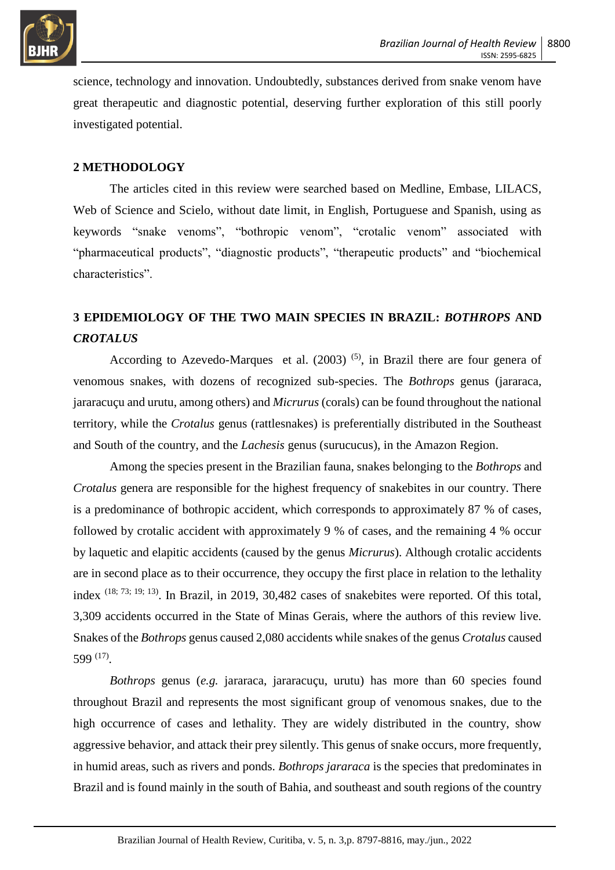

science, technology and innovation. Undoubtedly, substances derived from snake venom have great therapeutic and diagnostic potential, deserving further exploration of this still poorly investigated potential.

### **2 METHODOLOGY**

The articles cited in this review were searched based on Medline, Embase, LILACS, Web of Science and Scielo, without date limit, in English, Portuguese and Spanish, using as keywords "snake venoms", "bothropic venom", "crotalic venom" associated with "pharmaceutical products", "diagnostic products", "therapeutic products" and "biochemical characteristics".

# **3 EPIDEMIOLOGY OF THE TWO MAIN SPECIES IN BRAZIL:** *BOTHROPS* **AND**  *CROTALUS*

According to Azevedo-Marques et al.  $(2003)$ <sup>(5)</sup>, in Brazil there are four genera of venomous snakes, with dozens of recognized sub-species. The *Bothrops* genus (jararaca, jararacuçu and urutu, among others) and *Micrurus* (corals) can be found throughout the national territory, while the *Crotalus* genus (rattlesnakes) is preferentially distributed in the Southeast and South of the country, and the *Lachesis* genus (surucucus), in the Amazon Region.

Among the species present in the Brazilian fauna, snakes belonging to the *Bothrops* and *Crotalus* genera are responsible for the highest frequency of snakebites in our country. There is a predominance of bothropic accident, which corresponds to approximately 87 % of cases, followed by crotalic accident with approximately 9 % of cases, and the remaining 4 % occur by laquetic and elapitic accidents (caused by the genus *Micrurus*). Although crotalic accidents are in second place as to their occurrence, they occupy the first place in relation to the lethality index  $(18; 73; 19; 13)$ . In Brazil, in 2019, 30,482 cases of snakebites were reported. Of this total, 3,309 accidents occurred in the State of Minas Gerais, where the authors of this review live. Snakes of the *Bothrops* genus caused 2,080 accidents while snakes of the genus *Crotalus* caused 599 (17) .

*Bothrops* genus (*e.g.* jararaca, jararacuçu, urutu) has more than 60 species found throughout Brazil and represents the most significant group of venomous snakes, due to the high occurrence of cases and lethality. They are widely distributed in the country, show aggressive behavior, and attack their prey silently. This genus of snake occurs, more frequently, in humid areas, such as rivers and ponds. *Bothrops jararaca* is the species that predominates in Brazil and is found mainly in the south of Bahia, and southeast and south regions of the country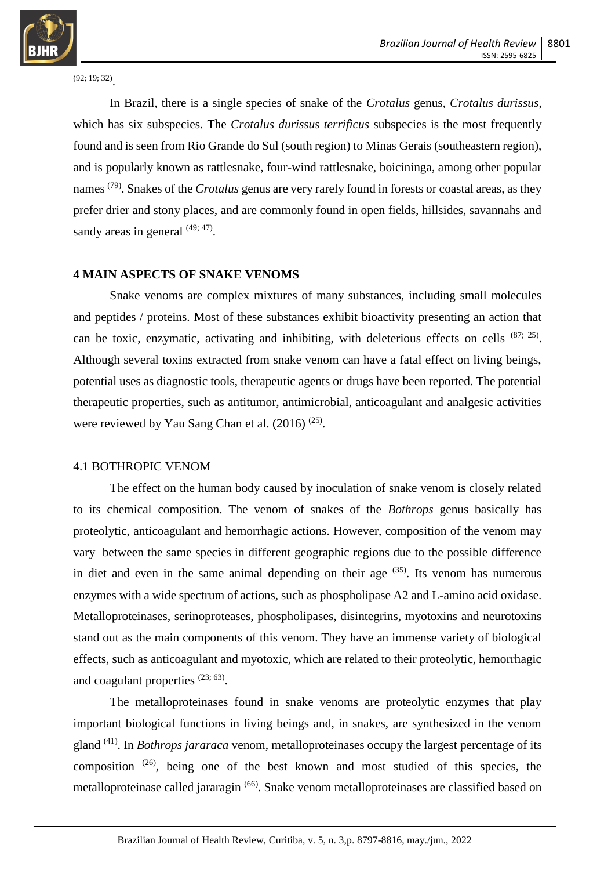

(92; 19; 32) .

In Brazil, there is a single species of snake of the *Crotalus* genus, *Crotalus durissus*, which has six subspecies. The *Crotalus durissus terrificus* subspecies is the most frequently found and is seen from Rio Grande do Sul (south region) to Minas Gerais (southeastern region), and is popularly known as rattlesnake, four-wind rattlesnake, boicininga, among other popular names (79) . Snakes of the *Crotalus* genus are very rarely found in forests or coastal areas, as they prefer drier and stony places, and are commonly found in open fields, hillsides, savannahs and sandy areas in general  $(49; 47)$ .

#### **4 MAIN ASPECTS OF SNAKE VENOMS**

Snake venoms are complex mixtures of many substances, including small molecules and peptides / proteins. Most of these substances exhibit bioactivity presenting an action that can be toxic, enzymatic, activating and inhibiting, with deleterious effects on cells  $(87; 25)$ . Although several toxins extracted from snake venom can have a fatal effect on living beings, potential uses as diagnostic tools, therapeutic agents or drugs have been reported. The potential therapeutic properties, such as antitumor, antimicrobial, anticoagulant and analgesic activities were reviewed by Yau Sang Chan et al.  $(2016)^{(25)}$ .

#### 4.1 BOTHROPIC VENOM

The effect on the human body caused by inoculation of snake venom is closely related to its chemical composition. The venom of snakes of the *Bothrops* genus basically has proteolytic, anticoagulant and hemorrhagic actions. However, composition of the venom may vary between the same species in different geographic regions due to the possible difference in diet and even in the same animal depending on their age  $(35)$ . Its venom has numerous enzymes with a wide spectrum of actions, such as phospholipase A2 and L-amino acid oxidase. Metalloproteinases, serinoproteases, phospholipases, disintegrins, myotoxins and neurotoxins stand out as the main components of this venom. They have an immense variety of biological effects, such as anticoagulant and myotoxic, which are related to their proteolytic, hemorrhagic and coagulant properties  $(23, 63)$ .

The metalloproteinases found in snake venoms are proteolytic enzymes that play important biological functions in living beings and, in snakes, are synthesized in the venom gland (41) . In *Bothrops jararaca* venom, metalloproteinases occupy the largest percentage of its composition  $(26)$ , being one of the best known and most studied of this species, the metalloproteinase called jararagin <sup>(66)</sup>. Snake venom metalloproteinases are classified based on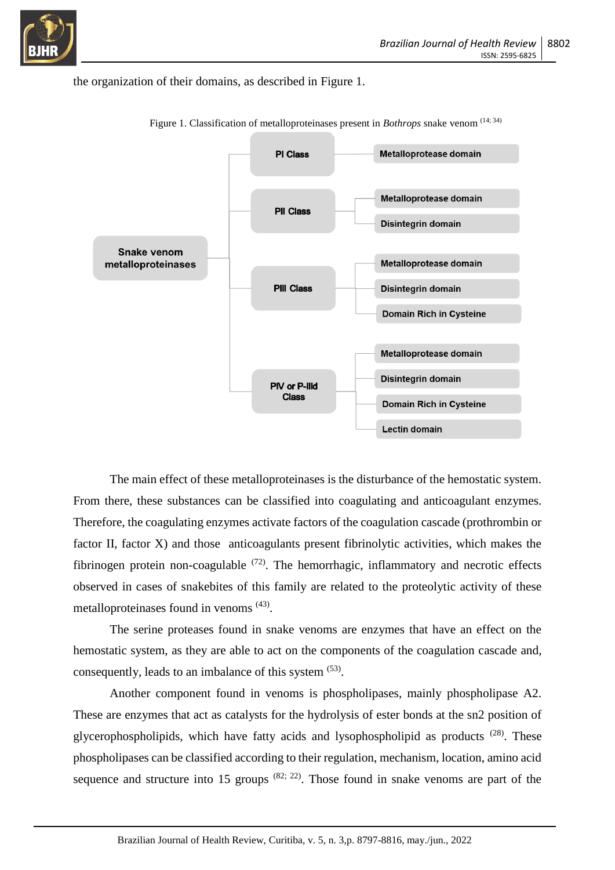

#### the organization of their domains, as described in Figure 1.



Figure 1. Classification of metalloproteinases present in *Bothrops* snake venom <sup>(14; 34)</sup>

The main effect of these metalloproteinases is the disturbance of the hemostatic system. From there, these substances can be classified into coagulating and anticoagulant enzymes. Therefore, the coagulating enzymes activate factors of the coagulation cascade (prothrombin or factor II, factor X) and those anticoagulants present fibrinolytic activities, which makes the fibrinogen protein non-coagulable  $(72)$ . The hemorrhagic, inflammatory and necrotic effects observed in cases of snakebites of this family are related to the proteolytic activity of these metalloproteinases found in venoms (43).

The serine proteases found in snake venoms are enzymes that have an effect on the hemostatic system, as they are able to act on the components of the coagulation cascade and, consequently, leads to an imbalance of this system <sup>(53)</sup>.

Another component found in venoms is phospholipases, mainly phospholipase A2. These are enzymes that act as catalysts for the hydrolysis of ester bonds at the sn2 position of glycerophospholipids, which have fatty acids and lysophospholipid as products  $(28)$ . These phospholipases can be classified according to their regulation, mechanism, location, amino acid sequence and structure into 15 groups  $(82, 22)$ . Those found in snake venoms are part of the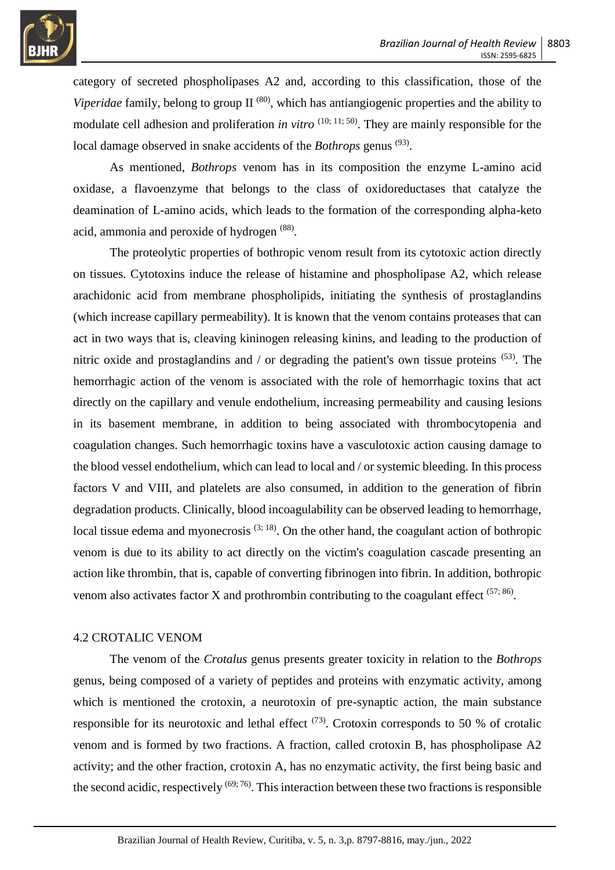

category of secreted phospholipases A2 and, according to this classification, those of the Viperidae family, belong to group II<sup>(80)</sup>, which has antiangiogenic properties and the ability to modulate cell adhesion and proliferation *in vitro* <sup>(10; 11; 50)</sup>. They are mainly responsible for the local damage observed in snake accidents of the *Bothrops* genus<sup>(93)</sup>.

As mentioned, *Bothrops* venom has in its composition the enzyme L-amino acid oxidase, a flavoenzyme that belongs to the class of oxidoreductases that catalyze the deamination of L-amino acids, which leads to the formation of the corresponding alpha-keto acid, ammonia and peroxide of hydrogen (88).

The proteolytic properties of bothropic venom result from its cytotoxic action directly on tissues. Cytotoxins induce the release of histamine and phospholipase A2, which release arachidonic acid from membrane phospholipids, initiating the synthesis of prostaglandins (which increase capillary permeability). It is known that the venom contains proteases that can act in two ways that is, cleaving kininogen releasing kinins, and leading to the production of nitric oxide and prostaglandins and / or degrading the patient's own tissue proteins  $(53)$ . The hemorrhagic action of the venom is associated with the role of hemorrhagic toxins that act directly on the capillary and venule endothelium, increasing permeability and causing lesions in its basement membrane, in addition to being associated with thrombocytopenia and coagulation changes. Such hemorrhagic toxins have a vasculotoxic action causing damage to the blood vessel endothelium, which can lead to local and / or systemic bleeding. In this process factors V and VIII, and platelets are also consumed, in addition to the generation of fibrin degradation products. Clinically, blood incoagulability can be observed leading to hemorrhage, local tissue edema and myonecrosis  $(3; 18)$ . On the other hand, the coagulant action of bothropic venom is due to its ability to act directly on the victim's coagulation cascade presenting an action like thrombin, that is, capable of converting fibrinogen into fibrin. In addition, bothropic venom also activates factor X and prothrombin contributing to the coagulant effect  $(57, 86)$ .

### 4.2 CROTALIC VENOM

The venom of the *Crotalus* genus presents greater toxicity in relation to the *Bothrops* genus, being composed of a variety of peptides and proteins with enzymatic activity, among which is mentioned the crotoxin, a neurotoxin of pre-synaptic action, the main substance responsible for its neurotoxic and lethal effect  $(73)$ . Crotoxin corresponds to 50 % of crotalic venom and is formed by two fractions. A fraction, called crotoxin B, has phospholipase A2 activity; and the other fraction, crotoxin A, has no enzymatic activity, the first being basic and the second acidic, respectively  $(69, 76)$ . This interaction between these two fractions is responsible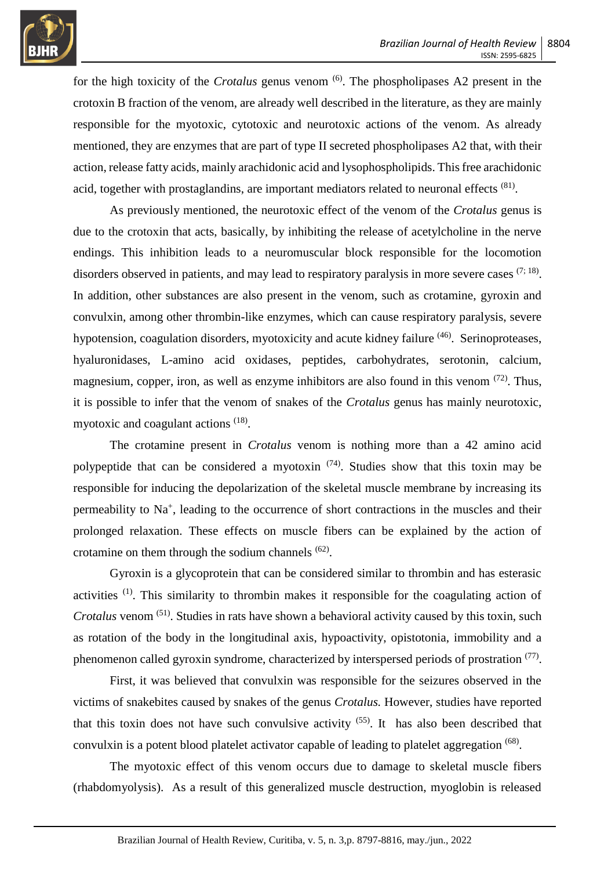

for the high toxicity of the *Crotalus* genus venom <sup>(6)</sup>. The phospholipases A2 present in the crotoxin B fraction of the venom, are already well described in the literature, as they are mainly responsible for the myotoxic, cytotoxic and neurotoxic actions of the venom. As already mentioned, they are enzymes that are part of type II secreted phospholipases A2 that, with their action, release fatty acids, mainly arachidonic acid and lysophospholipids. This free arachidonic acid, together with prostaglandins, are important mediators related to neuronal effects  $(81)$ .

As previously mentioned, the neurotoxic effect of the venom of the *Crotalus* genus is due to the crotoxin that acts, basically, by inhibiting the release of acetylcholine in the nerve endings. This inhibition leads to a neuromuscular block responsible for the locomotion disorders observed in patients, and may lead to respiratory paralysis in more severe cases  $(7, 18)$ . In addition, other substances are also present in the venom, such as crotamine, gyroxin and convulxin, among other thrombin-like enzymes, which can cause respiratory paralysis, severe hypotension, coagulation disorders, myotoxicity and acute kidney failure <sup>(46)</sup>. Serinoproteases, hyaluronidases, L-amino acid oxidases, peptides, carbohydrates, serotonin, calcium, magnesium, copper, iron, as well as enzyme inhibitors are also found in this venom  $(72)$ . Thus, it is possible to infer that the venom of snakes of the *Crotalus* genus has mainly neurotoxic, myotoxic and coagulant actions <sup>(18)</sup>.

The crotamine present in *Crotalus* venom is nothing more than a 42 amino acid polypeptide that can be considered a myotoxin  $(74)$ . Studies show that this toxin may be responsible for inducing the depolarization of the skeletal muscle membrane by increasing its permeability to Na<sup>+</sup>, leading to the occurrence of short contractions in the muscles and their prolonged relaxation. These effects on muscle fibers can be explained by the action of crotamine on them through the sodium channels  $(62)$ .

Gyroxin is a glycoprotein that can be considered similar to thrombin and has esterasic activities <sup>(1)</sup>. This similarity to thrombin makes it responsible for the coagulating action of Crotalus venom<sup>(51)</sup>. Studies in rats have shown a behavioral activity caused by this toxin, such as rotation of the body in the longitudinal axis, hypoactivity, opistotonia, immobility and a phenomenon called gyroxin syndrome, characterized by interspersed periods of prostration (77).

First, it was believed that convulxin was responsible for the seizures observed in the victims of snakebites caused by snakes of the genus *Crotalus.* However, studies have reported that this toxin does not have such convulsive activity  $(55)$ . It has also been described that convulxin is a potent blood platelet activator capable of leading to platelet aggregation <sup>(68)</sup>.

The myotoxic effect of this venom occurs due to damage to skeletal muscle fibers (rhabdomyolysis). As a result of this generalized muscle destruction, myoglobin is released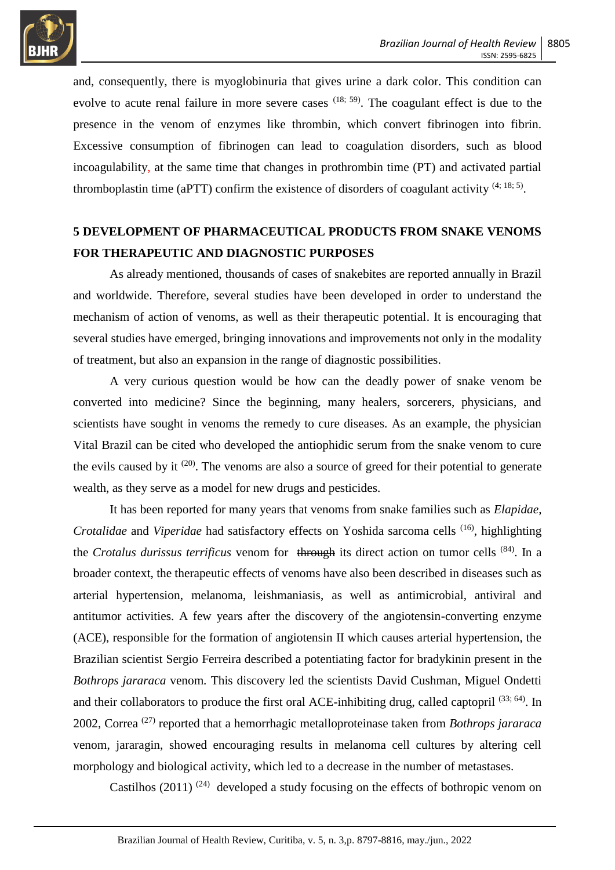

and, consequently, there is myoglobinuria that gives urine a dark color. This condition can evolve to acute renal failure in more severe cases  $(18, 59)$ . The coagulant effect is due to the presence in the venom of enzymes like thrombin, which convert fibrinogen into fibrin. Excessive consumption of fibrinogen can lead to coagulation disorders, such as blood incoagulability, at the same time that changes in prothrombin time (PT) and activated partial thromboplastin time (aPTT) confirm the existence of disorders of coagulant activity  $(4; 18; 5)$ .

# **5 DEVELOPMENT OF PHARMACEUTICAL PRODUCTS FROM SNAKE VENOMS FOR THERAPEUTIC AND DIAGNOSTIC PURPOSES**

As already mentioned, thousands of cases of snakebites are reported annually in Brazil and worldwide. Therefore, several studies have been developed in order to understand the mechanism of action of venoms, as well as their therapeutic potential. It is encouraging that several studies have emerged, bringing innovations and improvements not only in the modality of treatment, but also an expansion in the range of diagnostic possibilities.

A very curious question would be how can the deadly power of snake venom be converted into medicine? Since the beginning, many healers, sorcerers, physicians, and scientists have sought in venoms the remedy to cure diseases. As an example, the physician Vital Brazil can be cited who developed the antiophidic serum from the snake venom to cure the evils caused by it  $(20)$ . The venoms are also a source of greed for their potential to generate wealth, as they serve as a model for new drugs and pesticides.

It has been reported for many years that venoms from snake families such as *Elapidae*, *Crotalidae* and *Viperidae* had satisfactory effects on Yoshida sarcoma cells (16) , highlighting the *Crotalus durissus terrificus* venom for through its direct action on tumor cells (84) . In a broader context, the therapeutic effects of venoms have also been described in diseases such as arterial hypertension, melanoma, leishmaniasis, as well as antimicrobial, antiviral and antitumor activities. A few years after the discovery of the angiotensin-converting enzyme (ACE), responsible for the formation of angiotensin II which causes arterial hypertension, the Brazilian scientist Sergio Ferreira described a potentiating factor for bradykinin present in the *Bothrops jararaca* venom*.* This discovery led the scientists David Cushman, Miguel Ondetti and their collaborators to produce the first oral ACE-inhibiting drug, called captopril<sup>(33; 64)</sup>. In 2002, Correa (27) reported that a hemorrhagic metalloproteinase taken from *Bothrops jararaca*  venom, jararagin, showed encouraging results in melanoma cell cultures by altering cell morphology and biological activity, which led to a decrease in the number of metastases.

Castilhos (2011)<sup>(24)</sup> developed a study focusing on the effects of bothropic venom on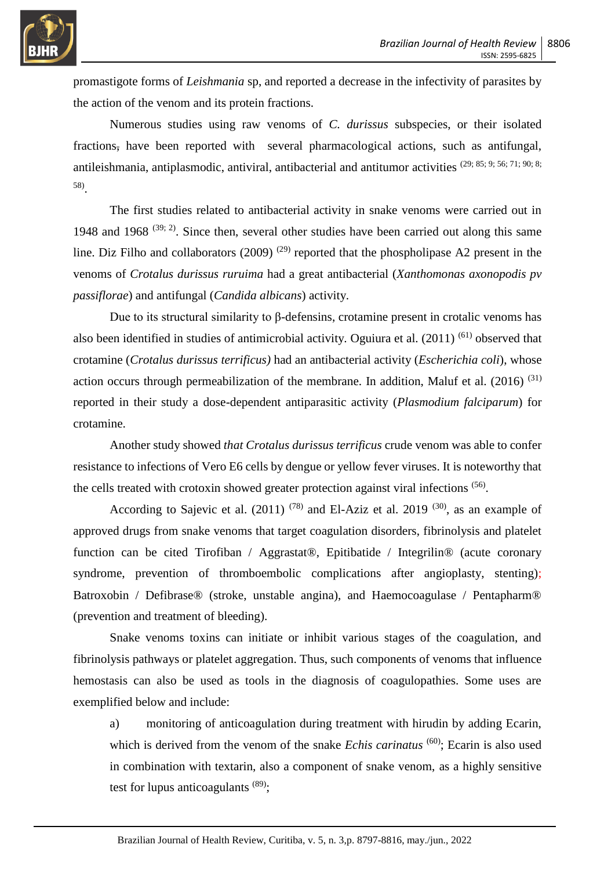

promastigote forms of *Leishmania* sp, and reported a decrease in the infectivity of parasites by the action of the venom and its protein fractions.

Numerous studies using raw venoms of *C. durissus* subspecies, or their isolated fractions, have been reported with several pharmacological actions, such as antifungal, antileishmania, antiplasmodic, antiviral, antibacterial and antitumor activities (29; 85; 9; 56; 71; 90; 8; 58) .

The first studies related to antibacterial activity in snake venoms were carried out in 1948 and 1968  $(39; 2)$ . Since then, several other studies have been carried out along this same line. Diz Filho and collaborators (2009)<sup>(29)</sup> reported that the phospholipase A2 present in the venoms of *Crotalus durissus ruruima* had a great antibacterial (*Xanthomonas axonopodis pv passiflorae*) and antifungal (*Candida albicans*) activity.

Due to its structural similarity to β-defensins, crotamine present in crotalic venoms has also been identified in studies of antimicrobial activity. Oguiura et al. (2011)<sup>(61)</sup> observed that crotamine (*Crotalus durissus terrificus)* had an antibacterial activity (*Escherichia coli*), whose action occurs through permeabilization of the membrane. In addition, Maluf et al.  $(2016)^{(31)}$ reported in their study a dose-dependent antiparasitic activity (*Plasmodium falciparum*) for crotamine.

Another study showed *that Crotalus durissus terrificus* crude venom was able to confer resistance to infections of Vero E6 cells by dengue or yellow fever viruses. It is noteworthy that the cells treated with crotoxin showed greater protection against viral infections (56).

According to Sajevic et al.  $(2011)^{(78)}$  and El-Aziz et al. 2019<sup>(30)</sup>, as an example of approved drugs from snake venoms that target coagulation disorders, fibrinolysis and platelet function can be cited Tirofiban / Aggrastat®, Epitibatide / Integrilin® (acute coronary syndrome, prevention of thromboembolic complications after angioplasty, stenting); Batroxobin / Defibrase® (stroke, unstable angina), and Haemocoagulase / Pentapharm® (prevention and treatment of bleeding).

Snake venoms toxins can initiate or inhibit various stages of the coagulation, and fibrinolysis pathways or platelet aggregation. Thus, such components of venoms that influence hemostasis can also be used as tools in the diagnosis of coagulopathies. Some uses are exemplified below and include:

a) monitoring of anticoagulation during treatment with hirudin by adding Ecarin, which is derived from the venom of the snake *Echis carinatus* <sup>(60)</sup>; Ecarin is also used in combination with textarin, also a component of snake venom, as a highly sensitive test for lupus anticoagulants  $(89)$ ;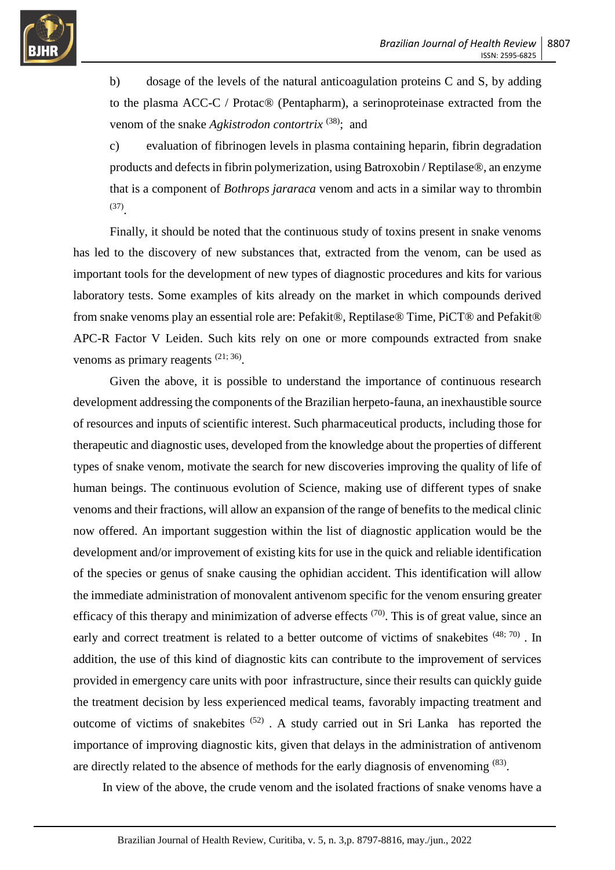

b) dosage of the levels of the natural anticoagulation proteins C and S, by adding to the plasma ACC-C / Protac® (Pentapharm), a serinoproteinase extracted from the venom of the snake *Agkistrodon contortrix* <sup>(38)</sup>; and

c) evaluation of fibrinogen levels in plasma containing heparin, fibrin degradation products and defects in fibrin polymerization, using Batroxobin / Reptilase®, an enzyme that is a component of *Bothrops jararaca* venom and acts in a similar way to thrombin (37) .

Finally, it should be noted that the continuous study of toxins present in snake venoms has led to the discovery of new substances that, extracted from the venom, can be used as important tools for the development of new types of diagnostic procedures and kits for various laboratory tests. Some examples of kits already on the market in which compounds derived from snake venoms play an essential role are: Pefakit®, Reptilase® Time, PiCT® and Pefakit® APC-R Factor V Leiden. Such kits rely on one or more compounds extracted from snake venoms as primary reagents  $(21; 36)$ .

Given the above, it is possible to understand the importance of continuous research development addressing the components of the Brazilian herpeto-fauna, an inexhaustible source of resources and inputs of scientific interest. Such pharmaceutical products, including those for therapeutic and diagnostic uses, developed from the knowledge about the properties of different types of snake venom, motivate the search for new discoveries improving the quality of life of human beings. The continuous evolution of Science, making use of different types of snake venoms and their fractions, will allow an expansion of the range of benefits to the medical clinic now offered. An important suggestion within the list of diagnostic application would be the development and/or improvement of existing kits for use in the quick and reliable identification of the species or genus of snake causing the ophidian accident. This identification will allow the immediate administration of monovalent antivenom specific for the venom ensuring greater efficacy of this therapy and minimization of adverse effects  $(70)$ . This is of great value, since an early and correct treatment is related to a better outcome of victims of snakebites (48; 70). In addition, the use of this kind of diagnostic kits can contribute to the improvement of services provided in emergency care units with poor infrastructure, since their results can quickly guide the treatment decision by less experienced medical teams, favorably impacting treatment and outcome of victims of snakebites  $(52)$ . A study carried out in Sri Lanka has reported the importance of improving diagnostic kits, given that delays in the administration of antivenom are directly related to the absence of methods for the early diagnosis of envenoming  $(83)$ .

In view of the above, the crude venom and the isolated fractions of snake venoms have a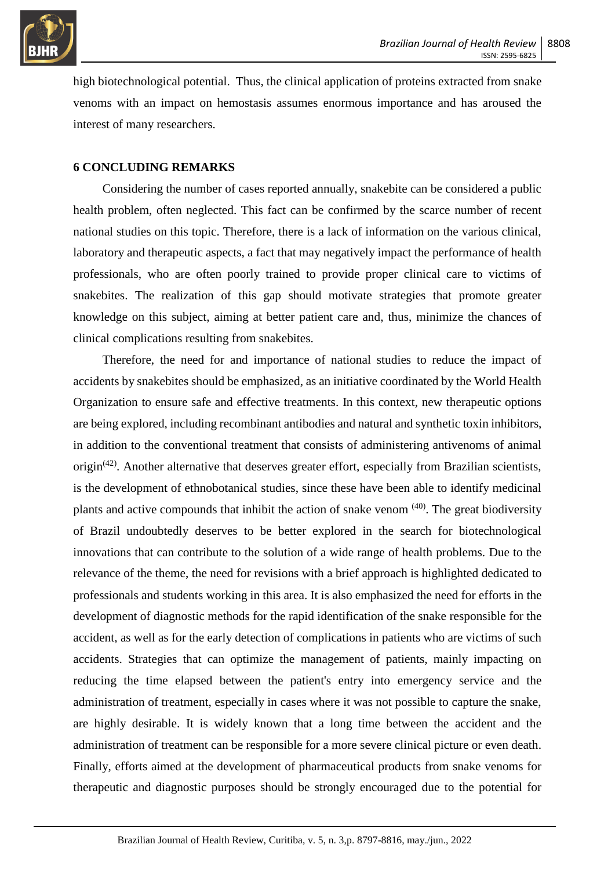

high biotechnological potential. Thus, the clinical application of proteins extracted from snake venoms with an impact on hemostasis assumes enormous importance and has aroused the interest of many researchers.

### **6 CONCLUDING REMARKS**

Considering the number of cases reported annually, snakebite can be considered a public health problem, often neglected. This fact can be confirmed by the scarce number of recent national studies on this topic. Therefore, there is a lack of information on the various clinical, laboratory and therapeutic aspects, a fact that may negatively impact the performance of health professionals, who are often poorly trained to provide proper clinical care to victims of snakebites. The realization of this gap should motivate strategies that promote greater knowledge on this subject, aiming at better patient care and, thus, minimize the chances of clinical complications resulting from snakebites.

Therefore, the need for and importance of national studies to reduce the impact of accidents by snakebites should be emphasized, as an initiative coordinated by the World Health Organization to ensure safe and effective treatments. In this context, new therapeutic options are being explored, including recombinant antibodies and natural and synthetic toxin inhibitors, in addition to the conventional treatment that consists of administering antivenoms of animal origin<sup>(42)</sup>. Another alternative that deserves greater effort, especially from Brazilian scientists, is the development of ethnobotanical studies, since these have been able to identify medicinal plants and active compounds that inhibit the action of snake venom <sup>(40)</sup>. The great biodiversity of Brazil undoubtedly deserves to be better explored in the search for biotechnological innovations that can contribute to the solution of a wide range of health problems. Due to the relevance of the theme, the need for revisions with a brief approach is highlighted dedicated to professionals and students working in this area. It is also emphasized the need for efforts in the development of diagnostic methods for the rapid identification of the snake responsible for the accident, as well as for the early detection of complications in patients who are victims of such accidents. Strategies that can optimize the management of patients, mainly impacting on reducing the time elapsed between the patient's entry into emergency service and the administration of treatment, especially in cases where it was not possible to capture the snake, are highly desirable. It is widely known that a long time between the accident and the administration of treatment can be responsible for a more severe clinical picture or even death. Finally, efforts aimed at the development of pharmaceutical products from snake venoms for therapeutic and diagnostic purposes should be strongly encouraged due to the potential for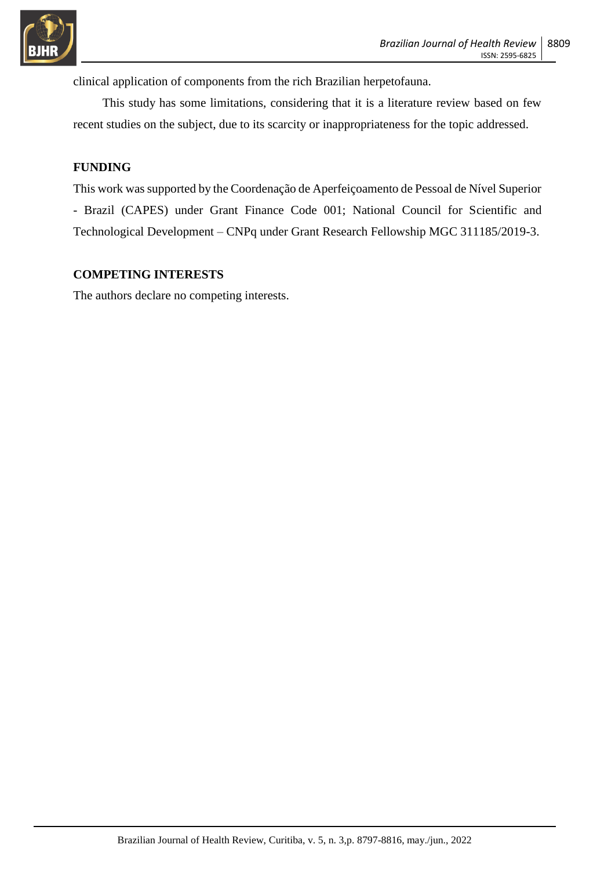

clinical application of components from the rich Brazilian herpetofauna.

This study has some limitations, considering that it is a literature review based on few recent studies on the subject, due to its scarcity or inappropriateness for the topic addressed.

### **FUNDING**

This work was supported by the Coordenação de Aperfeiçoamento de Pessoal de Nível Superior - Brazil (CAPES) under Grant Finance Code 001; National Council for Scientific and Technological Development – CNPq under Grant Research Fellowship MGC 311185/2019-3.

### **COMPETING INTERESTS**

The authors declare no competing interests.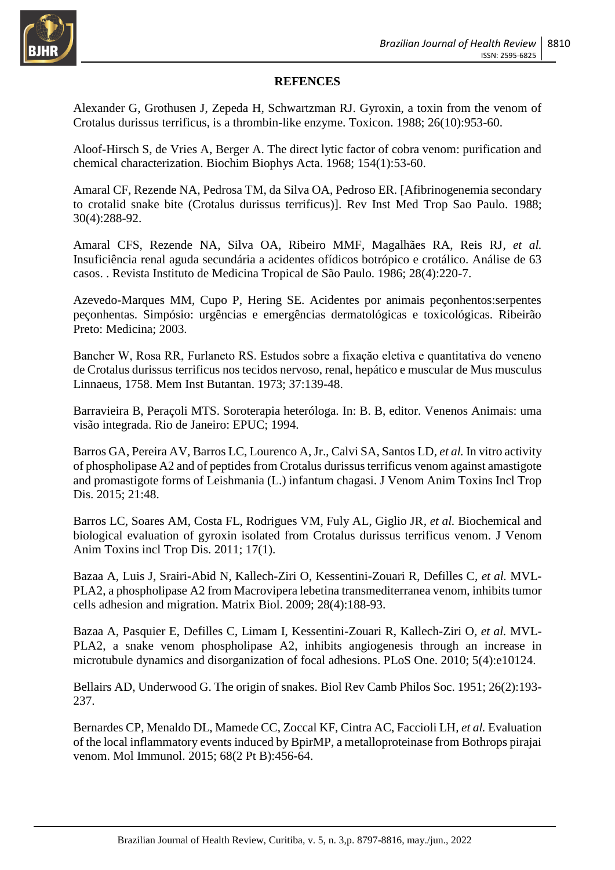

### **REFENCES**

Alexander G, Grothusen J, Zepeda H, Schwartzman RJ. Gyroxin, a toxin from the venom of Crotalus durissus terrificus, is a thrombin-like enzyme. Toxicon. 1988; 26(10):953-60.

Aloof-Hirsch S, de Vries A, Berger A. The direct lytic factor of cobra venom: purification and chemical characterization. Biochim Biophys Acta. 1968; 154(1):53-60.

Amaral CF, Rezende NA, Pedrosa TM, da Silva OA, Pedroso ER. [Afibrinogenemia secondary to crotalid snake bite (Crotalus durissus terrificus)]. Rev Inst Med Trop Sao Paulo. 1988; 30(4):288-92.

Amaral CFS, Rezende NA, Silva OA, Ribeiro MMF, Magalhães RA, Reis RJ*, et al.* Insuficiência renal aguda secundária a acidentes ofídicos botrópico e crotálico. Análise de 63 casos. . Revista Instituto de Medicina Tropical de São Paulo. 1986; 28(4):220-7.

Azevedo-Marques MM, Cupo P, Hering SE. Acidentes por animais peçonhentos:serpentes peçonhentas. Simpósio: urgências e emergências dermatológicas e toxicológicas. Ribeirão Preto: Medicina; 2003.

Bancher W, Rosa RR, Furlaneto RS. Estudos sobre a fixaçăo eletiva e quantitativa do veneno de Crotalus durissus terrificus nos tecidos nervoso, renal, hepático e muscular de Mus musculus Linnaeus, 1758. Mem Inst Butantan. 1973; 37:139-48.

Barravieira B, Peraçoli MTS. Soroterapia heteróloga. In: B. B, editor. Venenos Animais: uma visão integrada. Rio de Janeiro: EPUC; 1994.

Barros GA, Pereira AV, Barros LC, Lourenco A, Jr., Calvi SA, Santos LD*, et al.* In vitro activity of phospholipase A2 and of peptides from Crotalus durissus terrificus venom against amastigote and promastigote forms of Leishmania (L.) infantum chagasi. J Venom Anim Toxins Incl Trop Dis. 2015; 21:48.

Barros LC, Soares AM, Costa FL, Rodrigues VM, Fuly AL, Giglio JR*, et al.* Biochemical and biological evaluation of gyroxin isolated from Crotalus durissus terrificus venom. J Venom Anim Toxins incl Trop Dis. 2011; 17(1).

Bazaa A, Luis J, Srairi-Abid N, Kallech-Ziri O, Kessentini-Zouari R, Defilles C*, et al.* MVL-PLA2, a phospholipase A2 from Macrovipera lebetina transmediterranea venom, inhibits tumor cells adhesion and migration. Matrix Biol. 2009; 28(4):188-93.

Bazaa A, Pasquier E, Defilles C, Limam I, Kessentini-Zouari R, Kallech-Ziri O*, et al.* MVL-PLA2, a snake venom phospholipase A2, inhibits angiogenesis through an increase in microtubule dynamics and disorganization of focal adhesions. PLoS One. 2010; 5(4):e10124.

Bellairs AD, Underwood G. The origin of snakes. Biol Rev Camb Philos Soc. 1951; 26(2):193- 237.

Bernardes CP, Menaldo DL, Mamede CC, Zoccal KF, Cintra AC, Faccioli LH*, et al.* Evaluation of the local inflammatory events induced by BpirMP, a metalloproteinase from Bothrops pirajai venom. Mol Immunol. 2015; 68(2 Pt B):456-64.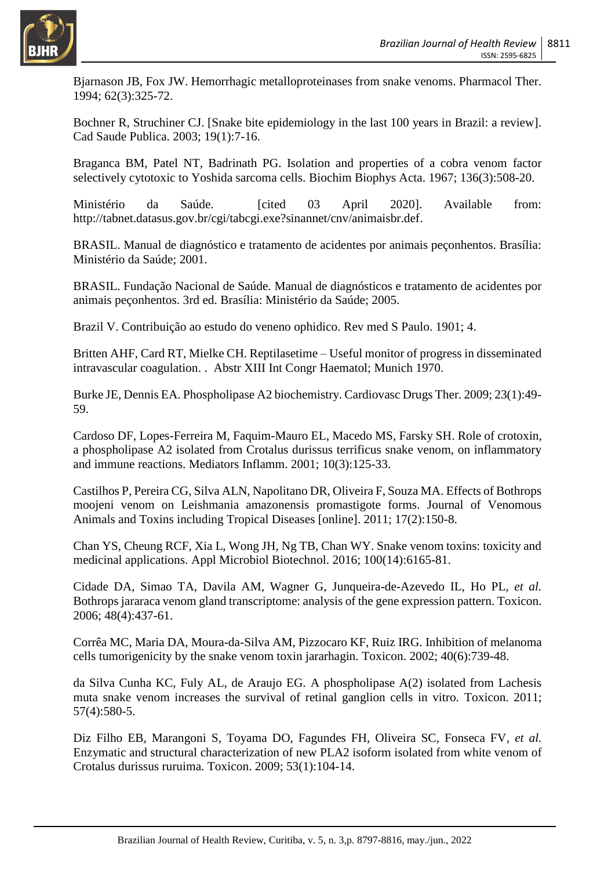

Bjarnason JB, Fox JW. Hemorrhagic metalloproteinases from snake venoms. Pharmacol Ther. 1994; 62(3):325-72.

Bochner R, Struchiner CJ. [Snake bite epidemiology in the last 100 years in Brazil: a review]. Cad Saude Publica. 2003; 19(1):7-16.

Braganca BM, Patel NT, Badrinath PG. Isolation and properties of a cobra venom factor selectively cytotoxic to Yoshida sarcoma cells. Biochim Biophys Acta. 1967; 136(3):508-20.

Ministério da Saúde. [cited 03 April 2020]. Available from: http://tabnet.datasus.gov.br/cgi/tabcgi.exe?sinannet/cnv/animaisbr.def.

BRASIL. Manual de diagnóstico e tratamento de acidentes por animais peçonhentos. Brasília: Ministério da Saúde; 2001.

BRASIL. Fundação Nacional de Saúde. Manual de diagnósticos e tratamento de acidentes por animais peçonhentos. 3rd ed. Brasília: Ministério da Saúde; 2005.

Brazil V. Contribuição ao estudo do veneno ophidico. Rev med S Paulo. 1901; 4.

Britten AHF, Card RT, Mielke CH. Reptilasetime – Useful monitor of progress in disseminated intravascular coagulation. . Abstr XIII Int Congr Haematol; Munich 1970.

Burke JE, Dennis EA. Phospholipase A2 biochemistry. Cardiovasc Drugs Ther. 2009; 23(1):49- 59.

Cardoso DF, Lopes-Ferreira M, Faquim-Mauro EL, Macedo MS, Farsky SH. Role of crotoxin, a phospholipase A2 isolated from Crotalus durissus terrificus snake venom, on inflammatory and immune reactions. Mediators Inflamm. 2001; 10(3):125-33.

Castilhos P, Pereira CG, Silva ALN, Napolitano DR, Oliveira F, Souza MA. Effects of Bothrops moojeni venom on Leishmania amazonensis promastigote forms. Journal of Venomous Animals and Toxins including Tropical Diseases [online]. 2011; 17(2):150-8.

Chan YS, Cheung RCF, Xia L, Wong JH, Ng TB, Chan WY. Snake venom toxins: toxicity and medicinal applications. Appl Microbiol Biotechnol. 2016; 100(14):6165-81.

Cidade DA, Simao TA, Davila AM, Wagner G, Junqueira-de-Azevedo IL, Ho PL*, et al.* Bothrops jararaca venom gland transcriptome: analysis of the gene expression pattern. Toxicon. 2006; 48(4):437-61.

Corrêa MC, Maria DA, Moura-da-Silva AM, Pizzocaro KF, Ruiz IRG. Inhibition of melanoma cells tumorigenicity by the snake venom toxin jararhagin. Toxicon. 2002; 40(6):739-48.

da Silva Cunha KC, Fuly AL, de Araujo EG. A phospholipase A(2) isolated from Lachesis muta snake venom increases the survival of retinal ganglion cells in vitro. Toxicon. 2011; 57(4):580-5.

Diz Filho EB, Marangoni S, Toyama DO, Fagundes FH, Oliveira SC, Fonseca FV*, et al.* Enzymatic and structural characterization of new PLA2 isoform isolated from white venom of Crotalus durissus ruruima. Toxicon. 2009; 53(1):104-14.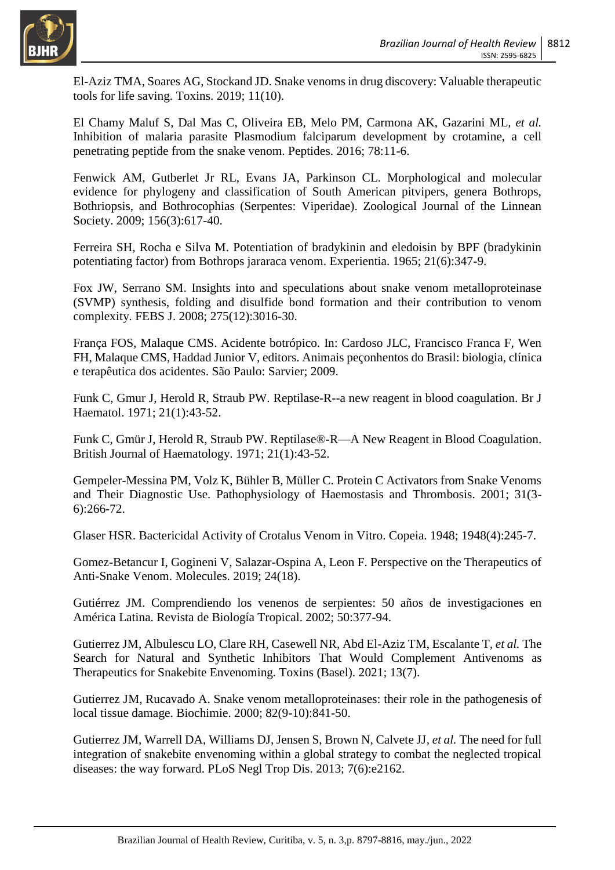

El-Aziz TMA, Soares AG, Stockand JD. Snake venoms in drug discovery: Valuable therapeutic tools for life saving. Toxins. 2019; 11(10).

El Chamy Maluf S, Dal Mas C, Oliveira EB, Melo PM, Carmona AK, Gazarini ML*, et al.* Inhibition of malaria parasite Plasmodium falciparum development by crotamine, a cell penetrating peptide from the snake venom. Peptides. 2016; 78:11-6.

Fenwick AM, Gutberlet Jr RL, Evans JA, Parkinson CL. Morphological and molecular evidence for phylogeny and classification of South American pitvipers, genera Bothrops, Bothriopsis, and Bothrocophias (Serpentes: Viperidae). Zoological Journal of the Linnean Society. 2009; 156(3):617-40.

Ferreira SH, Rocha e Silva M. Potentiation of bradykinin and eledoisin by BPF (bradykinin potentiating factor) from Bothrops jararaca venom. Experientia. 1965; 21(6):347-9.

Fox JW, Serrano SM. Insights into and speculations about snake venom metalloproteinase (SVMP) synthesis, folding and disulfide bond formation and their contribution to venom complexity. FEBS J. 2008; 275(12):3016-30.

França FOS, Malaque CMS. Acidente botrópico. In: Cardoso JLC, Francisco Franca F, Wen FH, Malaque CMS, Haddad Junior V, editors. Animais peçonhentos do Brasil: biologia, clínica e terapêutica dos acidentes. São Paulo: Sarvier; 2009.

Funk C, Gmur J, Herold R, Straub PW. Reptilase-R--a new reagent in blood coagulation. Br J Haematol. 1971; 21(1):43-52.

Funk C, Gmür J, Herold R, Straub PW. Reptilase®-R—A New Reagent in Blood Coagulation. British Journal of Haematology. 1971; 21(1):43-52.

Gempeler-Messina PM, Volz K, Bühler B, Müller C. Protein C Activators from Snake Venoms and Their Diagnostic Use. Pathophysiology of Haemostasis and Thrombosis. 2001; 31(3- 6):266-72.

Glaser HSR. Bactericidal Activity of Crotalus Venom in Vitro. Copeia. 1948; 1948(4):245-7.

Gomez-Betancur I, Gogineni V, Salazar-Ospina A, Leon F. Perspective on the Therapeutics of Anti-Snake Venom. Molecules. 2019; 24(18).

Gutiérrez JM. Comprendiendo los venenos de serpientes: 50 años de investigaciones en América Latina. Revista de Biología Tropical. 2002; 50:377-94.

Gutierrez JM, Albulescu LO, Clare RH, Casewell NR, Abd El-Aziz TM, Escalante T*, et al.* The Search for Natural and Synthetic Inhibitors That Would Complement Antivenoms as Therapeutics for Snakebite Envenoming. Toxins (Basel). 2021; 13(7).

Gutierrez JM, Rucavado A. Snake venom metalloproteinases: their role in the pathogenesis of local tissue damage. Biochimie. 2000; 82(9-10):841-50.

Gutierrez JM, Warrell DA, Williams DJ, Jensen S, Brown N, Calvete JJ*, et al.* The need for full integration of snakebite envenoming within a global strategy to combat the neglected tropical diseases: the way forward. PLoS Negl Trop Dis. 2013; 7(6):e2162.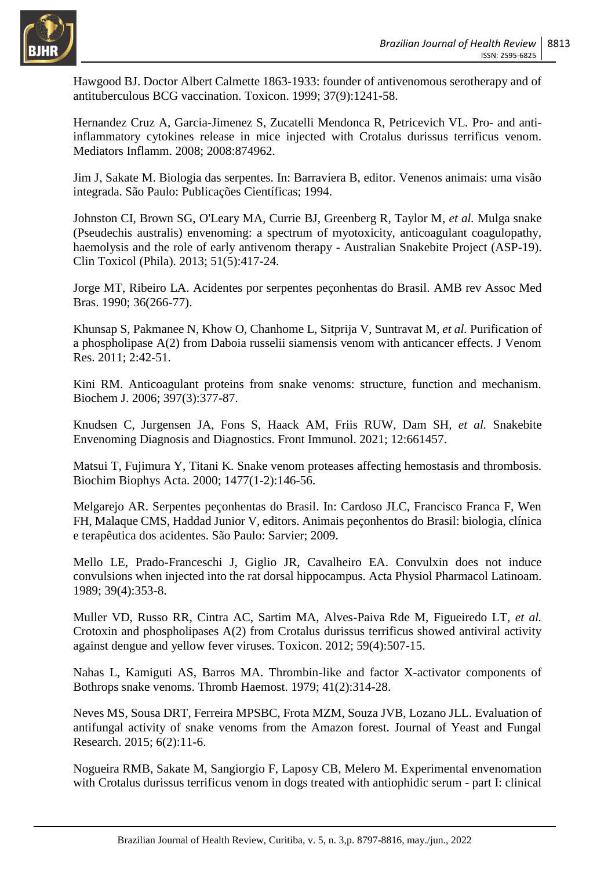

Hawgood BJ. Doctor Albert Calmette 1863-1933: founder of antivenomous serotherapy and of antituberculous BCG vaccination. Toxicon. 1999; 37(9):1241-58.

Hernandez Cruz A, Garcia-Jimenez S, Zucatelli Mendonca R, Petricevich VL. Pro- and antiinflammatory cytokines release in mice injected with Crotalus durissus terrificus venom. Mediators Inflamm. 2008; 2008:874962.

Jim J, Sakate M. Biologia das serpentes. In: Barraviera B, editor. Venenos animais: uma visão integrada. São Paulo: Publicações Científicas; 1994.

Johnston CI, Brown SG, O'Leary MA, Currie BJ, Greenberg R, Taylor M*, et al.* Mulga snake (Pseudechis australis) envenoming: a spectrum of myotoxicity, anticoagulant coagulopathy, haemolysis and the role of early antivenom therapy - Australian Snakebite Project (ASP-19). Clin Toxicol (Phila). 2013; 51(5):417-24.

Jorge MT, Ribeiro LA. Acidentes por serpentes peçonhentas do Brasil. AMB rev Assoc Med Bras. 1990; 36(266-77).

Khunsap S, Pakmanee N, Khow O, Chanhome L, Sitprija V, Suntravat M*, et al.* Purification of a phospholipase A(2) from Daboia russelii siamensis venom with anticancer effects. J Venom Res. 2011; 2:42-51.

Kini RM. Anticoagulant proteins from snake venoms: structure, function and mechanism. Biochem J. 2006; 397(3):377-87.

Knudsen C, Jurgensen JA, Fons S, Haack AM, Friis RUW, Dam SH*, et al.* Snakebite Envenoming Diagnosis and Diagnostics. Front Immunol. 2021; 12:661457.

Matsui T, Fujimura Y, Titani K. Snake venom proteases affecting hemostasis and thrombosis. Biochim Biophys Acta. 2000; 1477(1-2):146-56.

Melgarejo AR. Serpentes peçonhentas do Brasil. In: Cardoso JLC, Francisco Franca F, Wen FH, Malaque CMS, Haddad Junior V, editors. Animais peçonhentos do Brasil: biologia, clínica e terapêutica dos acidentes. São Paulo: Sarvier; 2009.

Mello LE, Prado-Franceschi J, Giglio JR, Cavalheiro EA. Convulxin does not induce convulsions when injected into the rat dorsal hippocampus. Acta Physiol Pharmacol Latinoam. 1989; 39(4):353-8.

Muller VD, Russo RR, Cintra AC, Sartim MA, Alves-Paiva Rde M, Figueiredo LT*, et al.* Crotoxin and phospholipases A(2) from Crotalus durissus terrificus showed antiviral activity against dengue and yellow fever viruses. Toxicon. 2012; 59(4):507-15.

Nahas L, Kamiguti AS, Barros MA. Thrombin-like and factor X-activator components of Bothrops snake venoms. Thromb Haemost. 1979; 41(2):314-28.

Neves MS, Sousa DRT, Ferreira MPSBC, Frota MZM, Souza JVB, Lozano JLL. Evaluation of antifungal activity of snake venoms from the Amazon forest. Journal of Yeast and Fungal Research. 2015; 6(2):11-6.

Nogueira RMB, Sakate M, Sangiorgio F, Laposy CB, Melero M. Experimental envenomation with Crotalus durissus terrificus venom in dogs treated with antiophidic serum - part I: clinical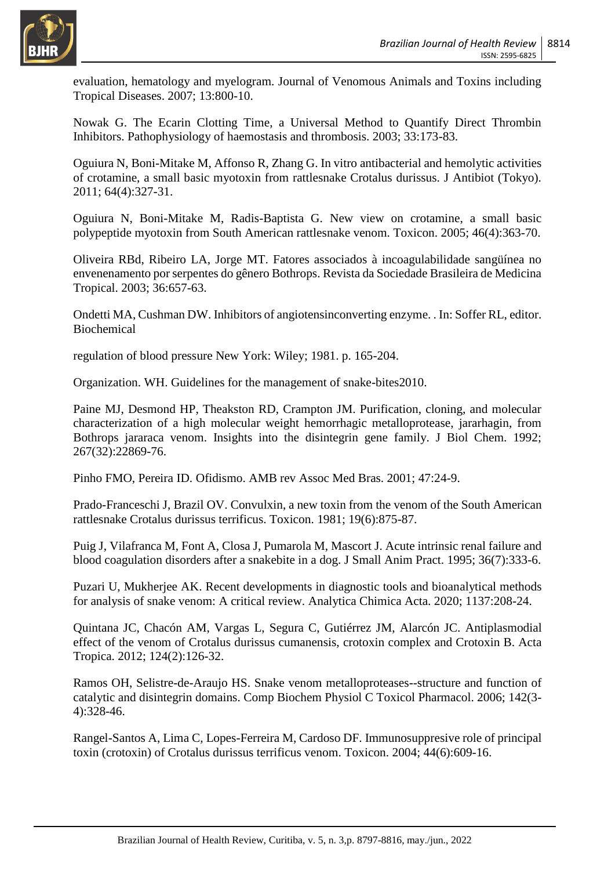

evaluation, hematology and myelogram. Journal of Venomous Animals and Toxins including Tropical Diseases. 2007; 13:800-10.

Nowak G. The Ecarin Clotting Time, a Universal Method to Quantify Direct Thrombin Inhibitors. Pathophysiology of haemostasis and thrombosis. 2003; 33:173-83.

Oguiura N, Boni-Mitake M, Affonso R, Zhang G. In vitro antibacterial and hemolytic activities of crotamine, a small basic myotoxin from rattlesnake Crotalus durissus. J Antibiot (Tokyo). 2011; 64(4):327-31.

Oguiura N, Boni-Mitake M, Radis-Baptista G. New view on crotamine, a small basic polypeptide myotoxin from South American rattlesnake venom. Toxicon. 2005; 46(4):363-70.

Oliveira RBd, Ribeiro LA, Jorge MT. Fatores associados à incoagulabilidade sangüínea no envenenamento por serpentes do gênero Bothrops. Revista da Sociedade Brasileira de Medicina Tropical. 2003; 36:657-63.

Ondetti MA, Cushman DW. Inhibitors of angiotensinconverting enzyme. . In: Soffer RL, editor. Biochemical

regulation of blood pressure New York: Wiley; 1981. p. 165-204.

Organization. WH. Guidelines for the management of snake-bites2010.

Paine MJ, Desmond HP, Theakston RD, Crampton JM. Purification, cloning, and molecular characterization of a high molecular weight hemorrhagic metalloprotease, jararhagin, from Bothrops jararaca venom. Insights into the disintegrin gene family. J Biol Chem. 1992; 267(32):22869-76.

Pinho FMO, Pereira ID. Ofidismo. AMB rev Assoc Med Bras. 2001; 47:24-9.

Prado-Franceschi J, Brazil OV. Convulxin, a new toxin from the venom of the South American rattlesnake Crotalus durissus terrificus. Toxicon. 1981; 19(6):875-87.

Puig J, Vilafranca M, Font A, Closa J, Pumarola M, Mascort J. Acute intrinsic renal failure and blood coagulation disorders after a snakebite in a dog. J Small Anim Pract. 1995; 36(7):333-6.

Puzari U, Mukherjee AK. Recent developments in diagnostic tools and bioanalytical methods for analysis of snake venom: A critical review. Analytica Chimica Acta. 2020; 1137:208-24.

Quintana JC, Chacón AM, Vargas L, Segura C, Gutiérrez JM, Alarcón JC. Antiplasmodial effect of the venom of Crotalus durissus cumanensis, crotoxin complex and Crotoxin B. Acta Tropica. 2012; 124(2):126-32.

Ramos OH, Selistre-de-Araujo HS. Snake venom metalloproteases--structure and function of catalytic and disintegrin domains. Comp Biochem Physiol C Toxicol Pharmacol. 2006; 142(3- 4):328-46.

Rangel-Santos A, Lima C, Lopes-Ferreira M, Cardoso DF. Immunosuppresive role of principal toxin (crotoxin) of Crotalus durissus terrificus venom. Toxicon. 2004; 44(6):609-16.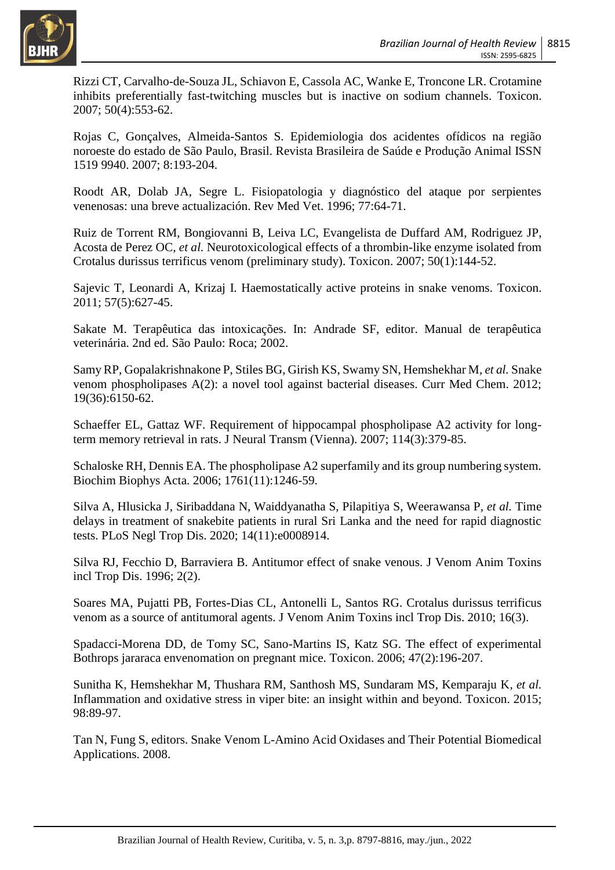

Rizzi CT, Carvalho-de-Souza JL, Schiavon E, Cassola AC, Wanke E, Troncone LR. Crotamine inhibits preferentially fast-twitching muscles but is inactive on sodium channels. Toxicon. 2007; 50(4):553-62.

Rojas C, Gonçalves, Almeida-Santos S. Epidemiologia dos acidentes ofídicos na região noroeste do estado de São Paulo, Brasil. Revista Brasileira de Saúde e Produção Animal ISSN 1519 9940. 2007; 8:193-204.

Roodt AR, Dolab JA, Segre L. Fisiopatologia y diagnóstico del ataque por serpientes venenosas: una breve actualización. Rev Med Vet. 1996; 77:64-71.

Ruiz de Torrent RM, Bongiovanni B, Leiva LC, Evangelista de Duffard AM, Rodriguez JP, Acosta de Perez OC*, et al.* Neurotoxicological effects of a thrombin-like enzyme isolated from Crotalus durissus terrificus venom (preliminary study). Toxicon. 2007; 50(1):144-52.

Sajevic T, Leonardi A, Krizaj I. Haemostatically active proteins in snake venoms. Toxicon. 2011; 57(5):627-45.

Sakate M. Terapêutica das intoxicações. In: Andrade SF, editor. Manual de terapêutica veterinária. 2nd ed. São Paulo: Roca; 2002.

Samy RP, Gopalakrishnakone P, Stiles BG, Girish KS, Swamy SN, Hemshekhar M*, et al.* Snake venom phospholipases A(2): a novel tool against bacterial diseases. Curr Med Chem. 2012; 19(36):6150-62.

Schaeffer EL, Gattaz WF. Requirement of hippocampal phospholipase A2 activity for longterm memory retrieval in rats. J Neural Transm (Vienna). 2007; 114(3):379-85.

Schaloske RH, Dennis EA. The phospholipase A2 superfamily and its group numbering system. Biochim Biophys Acta. 2006; 1761(11):1246-59.

Silva A, Hlusicka J, Siribaddana N, Waiddyanatha S, Pilapitiya S, Weerawansa P*, et al.* Time delays in treatment of snakebite patients in rural Sri Lanka and the need for rapid diagnostic tests. PLoS Negl Trop Dis. 2020; 14(11):e0008914.

Silva RJ, Fecchio D, Barraviera B. Antitumor effect of snake venous. J Venom Anim Toxins incl Trop Dis. 1996; 2(2).

Soares MA, Pujatti PB, Fortes-Dias CL, Antonelli L, Santos RG. Crotalus durissus terrificus venom as a source of antitumoral agents. J Venom Anim Toxins incl Trop Dis. 2010; 16(3).

Spadacci-Morena DD, de Tomy SC, Sano-Martins IS, Katz SG. The effect of experimental Bothrops jararaca envenomation on pregnant mice. Toxicon. 2006; 47(2):196-207.

Sunitha K, Hemshekhar M, Thushara RM, Santhosh MS, Sundaram MS, Kemparaju K*, et al.* Inflammation and oxidative stress in viper bite: an insight within and beyond. Toxicon. 2015; 98:89-97.

Tan N, Fung S, editors. Snake Venom L-Amino Acid Oxidases and Their Potential Biomedical Applications. 2008.